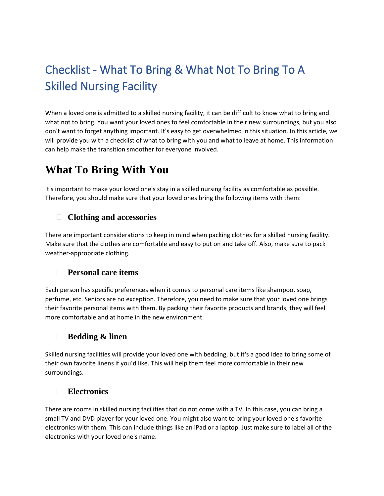# Checklist - What To Bring & What Not To Bring To A Skilled Nursing Facility

When a loved one is admitted to a skilled nursing facility, it can be difficult to know what to bring and what not to bring. You want your loved ones to feel comfortable in their new surroundings, but you also don't want to forget anything important. It's easy to get overwhelmed in this situation. In this article, we will provide you with a checklist of what to bring with you and what to leave at home. This information can help make the transition smoother for everyone involved.

# **What To Bring With You**

It's important to make your loved one's stay in a skilled nursing facility as comfortable as possible. Therefore, you should make sure that your loved ones bring the following items with them:

### **Clothing and accessories**

There are important considerations to keep in mind when packing clothes for a skilled nursing facility. Make sure that the clothes are comfortable and easy to put on and take off. Also, make sure to pack weather-appropriate clothing.

### **Personal care items**

Each person has specific preferences when it comes to personal care items like shampoo, soap, perfume, etc. Seniors are no exception. Therefore, you need to make sure that your loved one brings their favorite personal items with them. By packing their favorite products and brands, they will feel more comfortable and at home in the new environment.

### **Bedding & linen**

Skilled nursing facilities will provide your loved one with bedding, but it's a good idea to bring some of their own favorite linens if you'd like. This will help them feel more comfortable in their new surroundings.

### **Electronics**

There are rooms in skilled nursing facilities that do not come with a TV. In this case, you can bring a small TV and DVD player for your loved one. You might also want to bring your loved one's favorite electronics with them. This can include things like an iPad or a laptop. Just make sure to label all of the electronics with your loved one's name.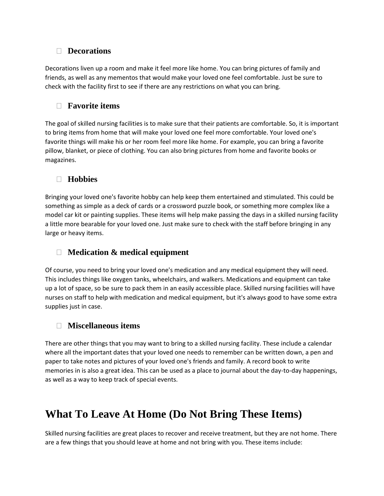# **Decorations**

Decorations liven up a room and make it feel more like home. You can bring pictures of family and friends, as well as any mementos that would make your loved one feel comfortable. Just be sure to check with the facility first to see if there are any restrictions on what you can bring.

# **Favorite items**

The goal of skilled nursing facilities is to make sure that their patients are comfortable. So, it is important to bring items from home that will make your loved one feel more comfortable. Your loved one's favorite things will make his or her room feel more like home. For example, you can bring a favorite pillow, blanket, or piece of clothing. You can also bring pictures from home and favorite books or magazines.

# **Hobbies**

Bringing your loved one's favorite hobby can help keep them entertained and stimulated. This could be something as simple as a deck of cards or a crossword puzzle book, or something more complex like a model car kit or painting supplies. These items will help make passing the days in a skilled nursing facility a little more bearable for your loved one. Just make sure to check with the staff before bringing in any large or heavy items.

# **Medication & medical equipment**

Of course, you need to bring your loved one's medication and any medical equipment they will need. This includes things like oxygen tanks, wheelchairs, and walkers. Medications and equipment can take up a lot of space, so be sure to pack them in an easily accessible place. Skilled nursing facilities will have nurses on staff to help with medication and medical equipment, but it's always good to have some extra supplies just in case.

# **Miscellaneous items**

There are other things that you may want to bring to a skilled nursing facility. These include a calendar where all the important dates that your loved one needs to remember can be written down, a pen and paper to take notes and pictures of your loved one's friends and family. A record book to write memories in is also a great idea. This can be used as a place to journal about the day-to-day happenings, as well as a way to keep track of special events.

# **What To Leave At Home (Do Not Bring These Items)**

Skilled nursing facilities are great places to recover and receive treatment, but they are not home. There are a few things that you should leave at home and not bring with you. These items include: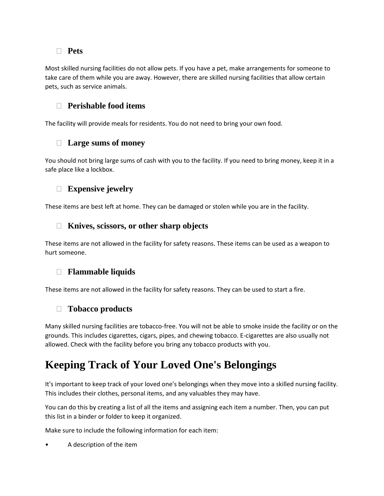### **Pets**

Most skilled nursing facilities do not allow pets. If you have a pet, make arrangements for someone to take care of them while you are away. However, there are skilled nursing facilities that allow certain pets, such as service animals.

### **Perishable food items**

The facility will provide meals for residents. You do not need to bring your own food.

#### **Large sums of money**

You should not bring large sums of cash with you to the facility. If you need to bring money, keep it in a safe place like a lockbox.

### **Expensive jewelry**

These items are best left at home. They can be damaged or stolen while you are in the facility.

#### **Knives, scissors, or other sharp objects**

These items are not allowed in the facility for safety reasons. These items can be used as a weapon to hurt someone.

### **Flammable liquids**

These items are not allowed in the facility for safety reasons. They can be used to start a fire.

### **Tobacco products**

Many skilled nursing facilities are tobacco-free. You will not be able to smoke inside the facility or on the grounds. This includes cigarettes, cigars, pipes, and chewing tobacco. E-cigarettes are also usually not allowed. Check with the facility before you bring any tobacco products with you.

# **Keeping Track of Your Loved One's Belongings**

It's important to keep track of your loved one's belongings when they move into a skilled nursing facility. This includes their clothes, personal items, and any valuables they may have.

You can do this by creating a list of all the items and assigning each item a number. Then, you can put this list in a binder or folder to keep it organized.

Make sure to include the following information for each item:

• A description of the item